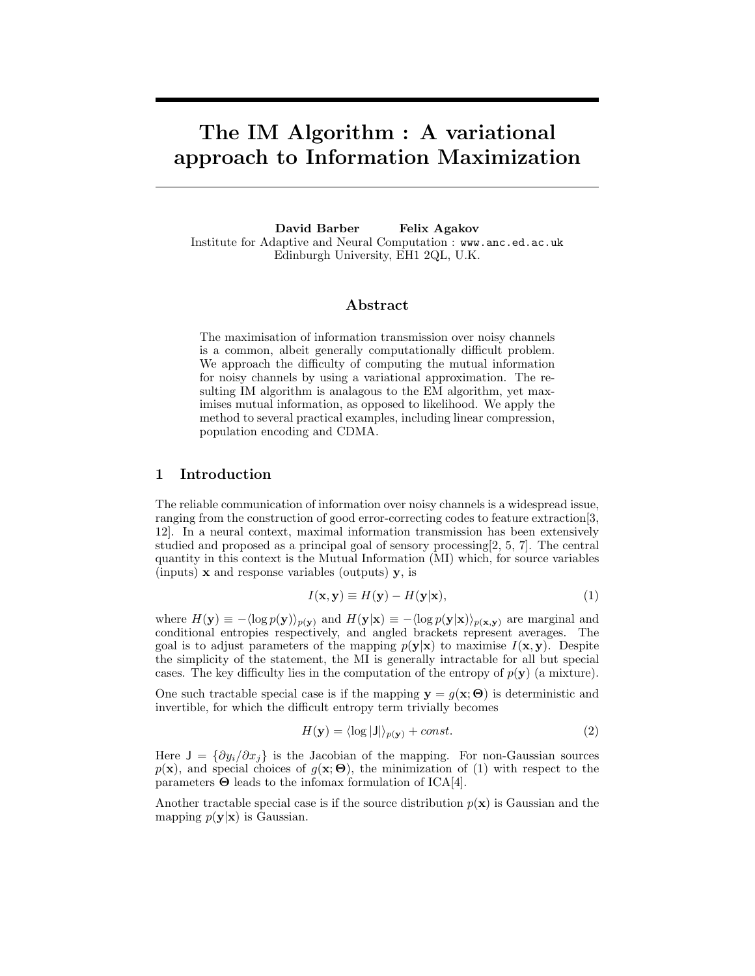# The IM Algorithm : A variational approach to Information Maximization

David Barber Felix Agakov Institute for Adaptive and Neural Computation : www.anc.ed.ac.uk Edinburgh University, EH1 2QL, U.K.

## Abstract

The maximisation of information transmission over noisy channels is a common, albeit generally computationally difficult problem. We approach the difficulty of computing the mutual information for noisy channels by using a variational approximation. The resulting IM algorithm is analagous to the EM algorithm, yet maximises mutual information, as opposed to likelihood. We apply the method to several practical examples, including linear compression, population encoding and CDMA.

# 1 Introduction

The reliable communication of information over noisy channels is a widespread issue, ranging from the construction of good error-correcting codes to feature extraction[3, 12]. In a neural context, maximal information transmission has been extensively studied and proposed as a principal goal of sensory processing[2, 5, 7]. The central quantity in this context is the Mutual Information (MI) which, for source variables (inputs)  $\bf{x}$  and response variables (outputs)  $\bf{v}$ , is

$$
I(\mathbf{x}, \mathbf{y}) \equiv H(\mathbf{y}) - H(\mathbf{y}|\mathbf{x}),\tag{1}
$$

where  $H(\mathbf{y}) \equiv -\langle \log p(\mathbf{y}) \rangle_{p(\mathbf{y})}$  and  $H(\mathbf{y}|\mathbf{x}) \equiv -\langle \log p(\mathbf{y}|\mathbf{x}) \rangle_{p(\mathbf{x},\mathbf{y})}$  are marginal and conditional entropies respectively, and angled brackets represent averages. The goal is to adjust parameters of the mapping  $p(y|x)$  to maximise  $I(x, y)$ . Despite the simplicity of the statement, the MI is generally intractable for all but special cases. The key difficulty lies in the computation of the entropy of  $p(\mathbf{y})$  (a mixture).

One such tractable special case is if the mapping  $y = g(x; \Theta)$  is deterministic and invertible, for which the difficult entropy term trivially becomes

$$
H(\mathbf{y}) = \langle \log |\mathsf{J}| \rangle_{p(\mathbf{y})} + const.
$$
 (2)

Here  $J = {\partial y_i/\partial x_j}$  is the Jacobian of the mapping. For non-Gaussian sources  $p(\mathbf{x})$ , and special choices of  $g(\mathbf{x}; \Theta)$ , the minimization of (1) with respect to the parameters  $\Theta$  leads to the infomax formulation of ICA[4].

Another tractable special case is if the source distribution  $p(x)$  is Gaussian and the mapping  $p(\mathbf{y}|\mathbf{x})$  is Gaussian.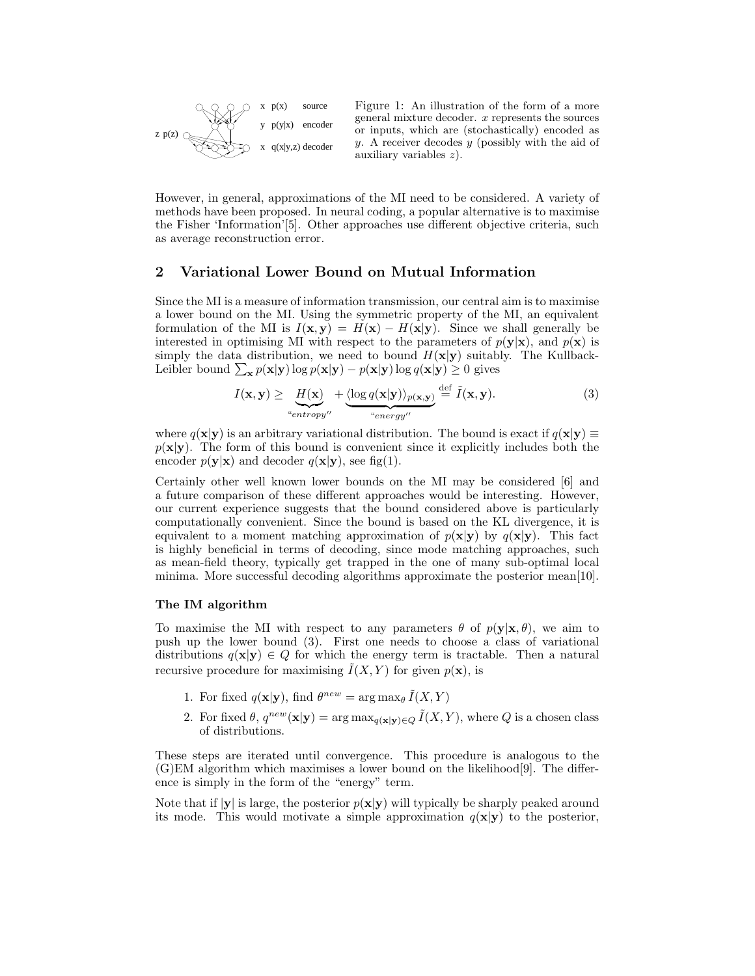

Figure 1: An illustration of the form of a more general mixture decoder. x represents the sources or inputs, which are (stochastically) encoded as  $y$ . A receiver decodes  $y$  (possibly with the aid of auxiliary variables z).

However, in general, approximations of the MI need to be considered. A variety of methods have been proposed. In neural coding, a popular alternative is to maximise the Fisher 'Information'[5]. Other approaches use different objective criteria, such as average reconstruction error.

# 2 Variational Lower Bound on Mutual Information

Since the MI is a measure of information transmission, our central aim is to maximise a lower bound on the MI. Using the symmetric property of the MI, an equivalent formulation of the MI is  $I(x, y) = H(x) - H(x|y)$ . Since we shall generally be interested in optimising MI with respect to the parameters of  $p(y|x)$ , and  $p(x)$  is simply the data distribution, we need to bound  $H(\mathbf{x}|\mathbf{y})$  suitably. The Kullback-Leibler bound  $\sum_{\mathbf{x}} p(\mathbf{x}|\mathbf{y}) \log p(\mathbf{x}|\mathbf{y}) - p(\mathbf{x}|\mathbf{y}) \log q(\mathbf{x}|\mathbf{y}) \ge 0$  gives

$$
I(\mathbf{x}, \mathbf{y}) \ge \underbrace{H(\mathbf{x})}_{\text{``entropy''}} + \underbrace{\langle \log q(\mathbf{x}|\mathbf{y}) \rangle_{p(\mathbf{x}, \mathbf{y})}}_{\text{``energy''}} \stackrel{\text{def}}{=} \tilde{I}(\mathbf{x}, \mathbf{y}). \tag{3}
$$

where  $q(\mathbf{x}|\mathbf{y})$  is an arbitrary variational distribution. The bound is exact if  $q(\mathbf{x}|\mathbf{y}) \equiv$  $p(x|y)$ . The form of this bound is convenient since it explicitly includes both the encoder  $p(\mathbf{y}|\mathbf{x})$  and decoder  $q(\mathbf{x}|\mathbf{y})$ , see fig(1).

Certainly other well known lower bounds on the MI may be considered [6] and a future comparison of these different approaches would be interesting. However, our current experience suggests that the bound considered above is particularly computationally convenient. Since the bound is based on the KL divergence, it is equivalent to a moment matching approximation of  $p(x|y)$  by  $q(x|y)$ . This fact is highly beneficial in terms of decoding, since mode matching approaches, such as mean-field theory, typically get trapped in the one of many sub-optimal local minima. More successful decoding algorithms approximate the posterior mean[10].

## The IM algorithm

To maximise the MI with respect to any parameters  $\theta$  of  $p(\mathbf{y}|\mathbf{x}, \theta)$ , we aim to push up the lower bound (3). First one needs to choose a class of variational distributions  $q(\mathbf{x}|\mathbf{y}) \in Q$  for which the energy term is tractable. Then a natural recursive procedure for maximising  $\tilde{I}(X, Y)$  for given  $p(\mathbf{x})$ , is

- 1. For fixed  $q(\mathbf{x}|\mathbf{y})$ , find  $\theta^{new} = \arg \max_{\theta} \tilde{I}(X, Y)$
- 2. For fixed  $\theta$ ,  $q^{new}(\mathbf{x}|\mathbf{y}) = \arg \max_{q(\mathbf{x}|\mathbf{y}) \in Q} \tilde{I}(X, Y)$ , where Q is a chosen class of distributions.

These steps are iterated until convergence. This procedure is analogous to the (G)EM algorithm which maximises a lower bound on the likelihood[9]. The difference is simply in the form of the "energy" term.

Note that if  $|\mathbf{v}|$  is large, the posterior  $p(\mathbf{x}|\mathbf{v})$  will typically be sharply peaked around its mode. This would motivate a simple approximation  $q(\mathbf{x}|\mathbf{y})$  to the posterior,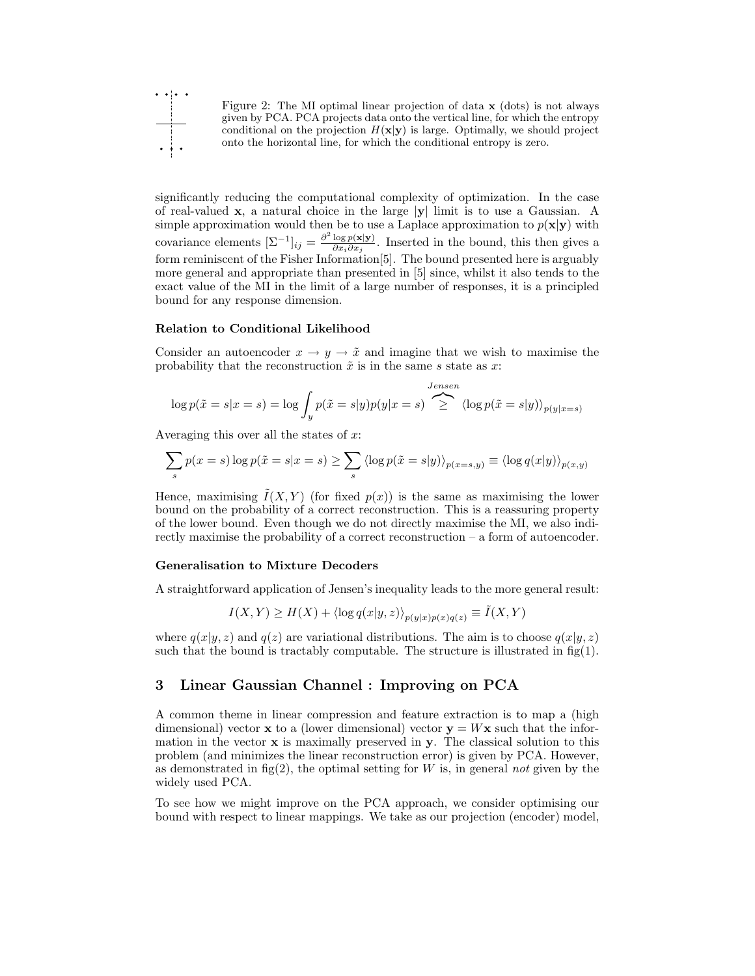

Figure 2: The MI optimal linear projection of data x (dots) is not always given by PCA. PCA projects data onto the vertical line, for which the entropy conditional on the projection  $H(\mathbf{x}|\mathbf{y})$  is large. Optimally, we should project onto the horizontal line, for which the conditional entropy is zero.

significantly reducing the computational complexity of optimization. In the case of real-valued  $x$ , a natural choice in the large  $|y|$  limit is to use a Gaussian. A simple approximation would then be to use a Laplace approximation to  $p(x|y)$  with covariance elements  $[\Sigma^{-1}]_{ij} = \frac{\partial^2 \log p(\mathbf{x}|\mathbf{y})}{\partial x_i \partial x_i}$  $\frac{\log p(\mathbf{x}|\mathbf{y})}{\partial x_i \partial x_j}$ . Inserted in the bound, this then gives a form reminiscent of the Fisher Information[5]. The bound presented here is arguably more general and appropriate than presented in [5] since, whilst it also tends to the exact value of the MI in the limit of a large number of responses, it is a principled bound for any response dimension.

## Relation to Conditional Likelihood

Consider an autoencoder  $x \to y \to \tilde{x}$  and imagine that we wish to maximise the probability that the reconstruction  $\tilde{x}$  is in the same s state as x:

$$
\log p(\tilde{x} = s | x = s) = \log \int_{y} p(\tilde{x} = s | y) p(y | x = s) \sum_{\geq}^{Jensen} \langle \log p(\tilde{x} = s | y) \rangle_{p(y | x = s)}
$$

Averaging this over all the states of  $x$ :

$$
\sum_{s} p(x = s) \log p(\tilde{x} = s | x = s) \ge \sum_{s} \langle \log p(\tilde{x} = s | y) \rangle_{p(x = s, y)} \equiv \langle \log q(x | y) \rangle_{p(x, y)}
$$

Hence, maximising  $\hat{I}(X, Y)$  (for fixed  $p(x)$ ) is the same as maximising the lower bound on the probability of a correct reconstruction. This is a reassuring property of the lower bound. Even though we do not directly maximise the MI, we also indirectly maximise the probability of a correct reconstruction – a form of autoencoder.

#### Generalisation to Mixture Decoders

A straightforward application of Jensen's inequality leads to the more general result:

$$
I(X,Y) \ge H(X) + \langle \log q(x|y,z) \rangle_{p(y|x)p(x)q(z)} \equiv \tilde{I}(X,Y)
$$

where  $q(x|y, z)$  and  $q(z)$  are variational distributions. The aim is to choose  $q(x|y, z)$ such that the bound is tractably computable. The structure is illustrated in  $fig(1)$ .

## 3 Linear Gaussian Channel : Improving on PCA

A common theme in linear compression and feature extraction is to map a (high dimensional) vector **x** to a (lower dimensional) vector  $\mathbf{v} = W\mathbf{x}$  such that the information in the vector  $x$  is maximally preserved in  $y$ . The classical solution to this problem (and minimizes the linear reconstruction error) is given by PCA. However, as demonstrated in fig(2), the optimal setting for  $W$  is, in general not given by the widely used PCA.

To see how we might improve on the PCA approach, we consider optimising our bound with respect to linear mappings. We take as our projection (encoder) model,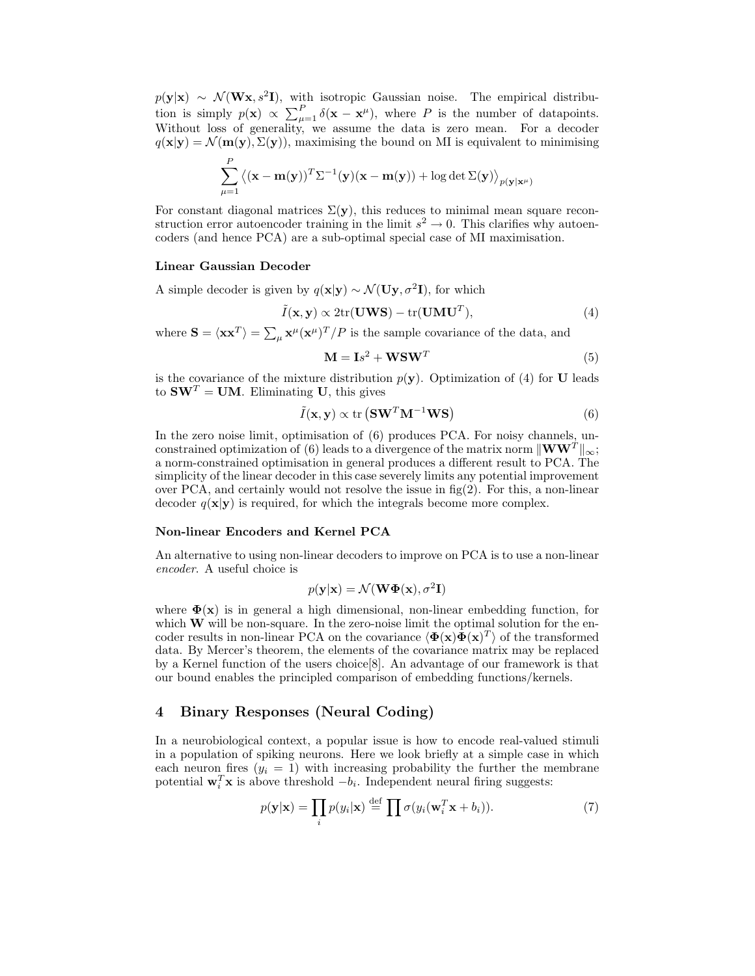$p(\mathbf{y}|\mathbf{x}) \sim \mathcal{N}(\mathbf{W}\mathbf{x}, s^2\mathbf{I})$ , with isotropic Gaussian noise. The empirical distribution is simply  $p(\mathbf{x}) \propto \sum_{\mu=1}^{P} \delta(\mathbf{x} - \mathbf{x}^{\mu})$ , where P is the number of datapoints. Without loss of generality, we assume the data is zero mean. For a decoder  $q(\mathbf{x}|\mathbf{y}) = \mathcal{N}(\mathbf{m}(\mathbf{y}), \Sigma(\mathbf{y}))$ , maximising the bound on MI is equivalent to minimising

$$
\sum_{\mu=1}^{P} \left\langle (\mathbf{x} - \mathbf{m}(\mathbf{y}))^T \Sigma^{-1} (\mathbf{y}) (\mathbf{x} - \mathbf{m}(\mathbf{y})) + \log \det \Sigma(\mathbf{y}) \right\rangle_{p(\mathbf{y}|\mathbf{x}^{\mu})}
$$

For constant diagonal matrices  $\Sigma(\mathbf{y})$ , this reduces to minimal mean square reconstruction error autoencoder training in the limit  $s^2 \to 0$ . This clarifies why autoencoders (and hence PCA) are a sub-optimal special case of MI maximisation.

#### Linear Gaussian Decoder

A simple decoder is given by  $q(\mathbf{x}|\mathbf{y}) \sim \mathcal{N}(\mathbf{U}\mathbf{y}, \sigma^2 \mathbf{I})$ , for which

$$
\tilde{I}(\mathbf{x}, \mathbf{y}) \propto 2 \text{tr}(\mathbf{U} \mathbf{W} \mathbf{S}) - \text{tr}(\mathbf{U} \mathbf{M} \mathbf{U}^T),\tag{4}
$$

where  $\mathbf{S} = \langle \mathbf{x} \mathbf{x}^T \rangle = \sum_{\mu} \mathbf{x}^{\mu} (\mathbf{x}^{\mu})^T / P$  is the sample covariance of the data, and

$$
\mathbf{M} = \mathbf{I}s^2 + \mathbf{WSW}^T \tag{5}
$$

is the covariance of the mixture distribution  $p(y)$ . Optimization of (4) for U leads to  $\mathbf{SW}^T = \mathbf{UM}$ . Eliminating U, this gives

$$
\tilde{I}(\mathbf{x}, \mathbf{y}) \propto \text{tr} \left( \mathbf{S} \mathbf{W}^T \mathbf{M}^{-1} \mathbf{W} \mathbf{S} \right) \tag{6}
$$

In the zero noise limit, optimisation of (6) produces PCA. For noisy channels, unconstrained optimization of (6) leads to a divergence of the matrix norm  $\|\mathbf{WW}^T\|_{\infty}$ ; a norm-constrained optimisation in general produces a different result to PCA. The simplicity of the linear decoder in this case severely limits any potential improvement over PCA, and certainly would not resolve the issue in  $fig(2)$ . For this, a non-linear decoder  $q(\mathbf{x}|\mathbf{y})$  is required, for which the integrals become more complex.

#### Non-linear Encoders and Kernel PCA

An alternative to using non-linear decoders to improve on PCA is to use a non-linear encoder. A useful choice is

$$
p(\mathbf{y}|\mathbf{x}) = \mathcal{N}(\mathbf{W}\mathbf{\Phi}(\mathbf{x}), \sigma^2 \mathbf{I})
$$

where  $\Phi(\mathbf{x})$  is in general a high dimensional, non-linear embedding function, for which  $\bf{W}$  will be non-square. In the zero-noise limit the optimal solution for the encoder results in non-linear PCA on the covariance  $\langle \mathbf{\Phi}(\mathbf{x})\mathbf{\Phi}(\mathbf{x})^T \rangle$  of the transformed data. By Mercer's theorem, the elements of the covariance matrix may be replaced by a Kernel function of the users choice[8]. An advantage of our framework is that our bound enables the principled comparison of embedding functions/kernels.

# 4 Binary Responses (Neural Coding)

In a neurobiological context, a popular issue is how to encode real-valued stimuli in a population of spiking neurons. Here we look briefly at a simple case in which each neuron fires  $(y_i = 1)$  with increasing probability the further the membrane potential  $\mathbf{w}_i^T \mathbf{x}$  is above threshold  $-b_i$ . Independent neural firing suggests:

$$
p(\mathbf{y}|\mathbf{x}) = \prod_{i} p(y_i|\mathbf{x}) \stackrel{\text{def}}{=} \prod \sigma(y_i(\mathbf{w}_i^T \mathbf{x} + b_i)).
$$
 (7)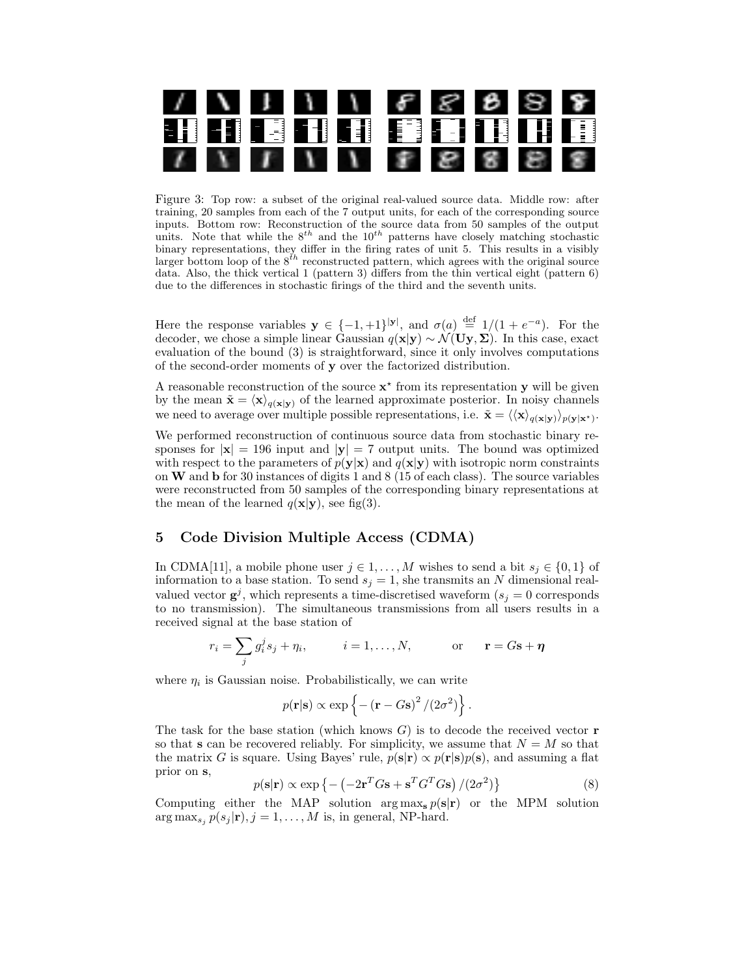

Figure 3: Top row: a subset of the original real-valued source data. Middle row: after training, 20 samples from each of the 7 output units, for each of the corresponding source inputs. Bottom row: Reconstruction of the source data from 50 samples of the output units. Note that while the  $8^{th}$  and the  $10^{th}$  patterns have closely matching stochastic binary representations, they differ in the firing rates of unit 5. This results in a visibly larger bottom loop of the  $8^{th}$  reconstructed pattern, which agrees with the original source data. Also, the thick vertical 1 (pattern 3) differs from the thin vertical eight (pattern 6) due to the differences in stochastic firings of the third and the seventh units.

Here the response variables  $y \in \{-1, +1\}^{|y|}$ , and  $\sigma(a) \stackrel{\text{def}}{=} 1/(1 + e^{-a})$ . For the decoder, we chose a simple linear Gaussian  $q(x|y) \sim \mathcal{N}(\mathbf{U}\mathbf{y}, \mathbf{\Sigma})$ . In this case, exact evaluation of the bound (3) is straightforward, since it only involves computations of the second-order moments of y over the factorized distribution.

A reasonable reconstruction of the source  $x^*$  from its representation y will be given by the mean  $\tilde{\mathbf{x}} = \langle \mathbf{x} \rangle_{q(\mathbf{x}|\mathbf{y})}$  of the learned approximate posterior. In noisy channels we need to average over multiple possible representations, i.e.  $\tilde{\mathbf{x}} = \langle \langle \mathbf{x} \rangle_{q(\mathbf{x}|\mathbf{y})} \rangle_{p(\mathbf{y}|\mathbf{x}^{\star})}$ .

We performed reconstruction of continuous source data from stochastic binary responses for  $|x| = 196$  input and  $|y| = 7$  output units. The bound was optimized with respect to the parameters of  $p(y|x)$  and  $q(x|y)$  with isotropic norm constraints on W and b for 30 instances of digits 1 and 8 (15 of each class). The source variables were reconstructed from 50 samples of the corresponding binary representations at the mean of the learned  $q(\mathbf{x}|\mathbf{y})$ , see fig(3).

## 5 Code Division Multiple Access (CDMA)

In CDMA[11], a mobile phone user  $j \in 1, ..., M$  wishes to send a bit  $s_j \in \{0, 1\}$  of information to a base station. To send  $s_j = 1$ , she transmits an N dimensional realvalued vector  $g^{j}$ , which represents a time-discretised waveform  $(s_j = 0$  corresponds to no transmission). The simultaneous transmissions from all users results in a received signal at the base station of

$$
r_i = \sum_j g_i^j s_j + \eta_i, \qquad i = 1, \dots, N, \qquad \text{or} \qquad \mathbf{r} = G\mathbf{s} + \mathbf{\eta}
$$

where  $\eta_i$  is Gaussian noise. Probabilistically, we can write

$$
p(\mathbf{r}|\mathbf{s}) \propto \exp\left\{-\left(\mathbf{r} - G\mathbf{s}\right)^2/(2\sigma^2)\right\}.
$$

The task for the base station (which knows  $G$ ) is to decode the received vector **r** so that s can be recovered reliably. For simplicity, we assume that  $N = M$  so that the matrix G is square. Using Bayes' rule,  $p(s|r) \propto p(r|s)p(s)$ , and assuming a flat prior on s,

$$
p(\mathbf{s}|\mathbf{r}) \propto \exp\left\{-\left(-2\mathbf{r}^T G \mathbf{s} + \mathbf{s}^T G^T G \mathbf{s}\right)/(2\sigma^2)\right\} \tag{8}
$$

Computing either the MAP solution arg  $\max_{s} p(s|r)$  or the MPM solution  $\arg \max_{s_i} p(s_j | \mathbf{r}), j = 1, \dots, M$  is, in general, NP-hard.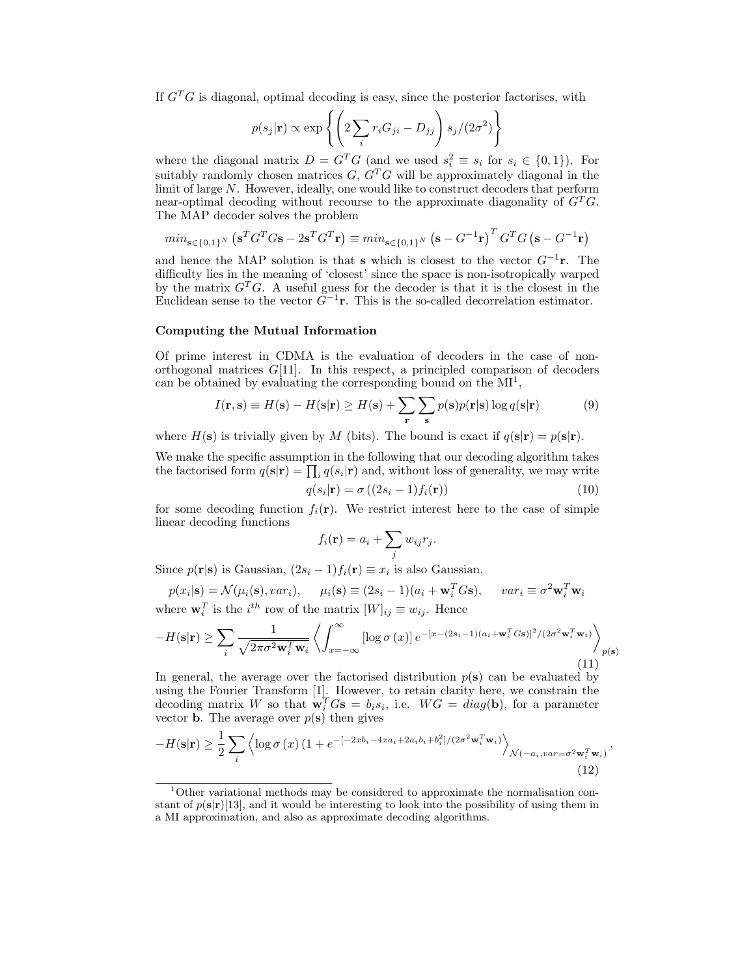If  $G<sup>T</sup>G$  is diagonal, optimal decoding is easy, since the posterior factorises, with

$$
p(s_j|\mathbf{r}) \propto \exp\left\{ \left( 2\sum_i r_i G_{ji} - D_{jj} \right) s_j / (2\sigma^2) \right\}
$$

where the diagonal matrix  $D = G^T G$  (and we used  $s_i^2 \equiv s_i$  for  $s_i \in \{0,1\}$ ). For suitably randomly chosen matrices  $G, G<sup>T</sup>G$  will be approximately diagonal in the limit of large  $N$ . However, ideally, one would like to construct decoders that perform near-optimal decoding without recourse to the approximate diagonality of  $G<sup>T</sup>G$ . The MAP decoder solves the problem

$$
min_{\mathbf{s}\in\{0,1\}^N} (\mathbf{s}^T G^T G \mathbf{s} - 2\mathbf{s}^T G^T \mathbf{r}) \equiv min_{\mathbf{s}\in\{0,1\}^N} (\mathbf{s} - G^{-1}\mathbf{r})^T G^T G (\mathbf{s} - G^{-1}\mathbf{r})
$$

and hence the MAP solution is that s which is closest to the vector  $G^{-1}$ **r**. The difficulty lies in the meaning of 'closest' since the space is non-isotropically warped by the matrix  $G^T G$ . A useful guess for the decoder is that it is the closest in the Euclidean sense to the vector  $\tilde{G}^{-1}$ **r**. This is the so-called decorrelation estimator.

### Computing the Mutual Information

Of prime interest in CDMA is the evaluation of decoders in the case of nonorthogonal matrices  $G[11]$ . In this respect, a principled comparison of decoders can be obtained by evaluating the corresponding bound on the  $MI^1$ ,

$$
I(\mathbf{r}, \mathbf{s}) \equiv H(\mathbf{s}) - H(\mathbf{s}|\mathbf{r}) \ge H(\mathbf{s}) + \sum_{\mathbf{r}} \sum_{\mathbf{s}} p(\mathbf{s}) p(\mathbf{r}|\mathbf{s}) \log q(\mathbf{s}|\mathbf{r}) \tag{9}
$$

where  $H(s)$  is trivially given by M (bits). The bound is exact if  $q(s|r) = p(s|r)$ .

We make the specific assumption in the following that our decoding algorithm takes the factorised form  $q(s|r) = \prod_i q(s_i|r)$  and, without loss of generality, we may write

$$
q(s_i|\mathbf{r}) = \sigma((2s_i - 1)f_i(\mathbf{r}))
$$
\n(10)

,

for some decoding function  $f_i(\mathbf{r})$ . We restrict interest here to the case of simple linear decoding functions

$$
f_i(\mathbf{r}) = a_i + \sum_j w_{ij} r_j.
$$

Since  $p(\mathbf{r}|\mathbf{s})$  is Gaussian,  $(2s_i - 1)f_i(\mathbf{r}) \equiv x_i$  is also Gaussian,

$$
p(x_i|\mathbf{s}) = \mathcal{N}(\mu_i(\mathbf{s}), var_i), \quad \mu_i(\mathbf{s}) \equiv (2s_i - 1)(a_i + \mathbf{w}_i^T G \mathbf{s}), \quad var_i \equiv \sigma^2 \mathbf{w}_i^T \mathbf{w}_i
$$
  
where  $\mathbf{w}_i^T$  is the *i*<sup>th</sup> row of the matrix  $[W]_{ij} \equiv w_{ij}$ . Hence

$$
-H(\mathbf{s}|\mathbf{r}) \ge \sum_{i} \frac{1}{\sqrt{2\pi\sigma^2 \mathbf{w}_i^T \mathbf{w}_i}} \left\langle \int_{x=-\infty}^{\infty} \left[ \log \sigma(x) \right] e^{-\left[x - (2s_i - 1)(a_i + \mathbf{w}_i^T G \mathbf{s})\right]^2 / (2\sigma^2 \mathbf{w}_i^T \mathbf{w}_i)} \right\rangle_{p(\mathbf{s})}
$$
(11)

In general, the average over the factorised distribution  $p(s)$  can be evaluated by using the Fourier Transform [1]. However, to retain clarity here, we constrain the decoding matrix W so that  $\mathbf{w}_i^T G \mathbf{s} = b_i s_i$ , i.e.  $WG = diag(\mathbf{b})$ , for a parameter vector **b**. The average over  $p(\mathbf{s})$  then gives

$$
-H(\mathbf{s}|\mathbf{r}) \geq \frac{1}{2} \sum_{i} \left\langle \log \sigma(x) \left(1 + e^{-\left[-2xb_{i} - 4xa_{i} + 2a_{i}b_{i} + b_{i}^{2}\right]/\left(2\sigma^{2}\mathbf{w}_{i}^{T}\mathbf{w}_{i}\right)}\right\rangle_{\mathcal{N}\left(-a_{i},var=\sigma^{2}\mathbf{w}_{i}^{T}\mathbf{w}_{i}\right)}\right\rangle\tag{12}
$$

 $1$ Other variational methods may be considered to approximate the normalisation constant of  $p(\mathbf{s}|\mathbf{r})$ [13], and it would be interesting to look into the possibility of using them in a MI approximation, and also as approximate decoding algorithms.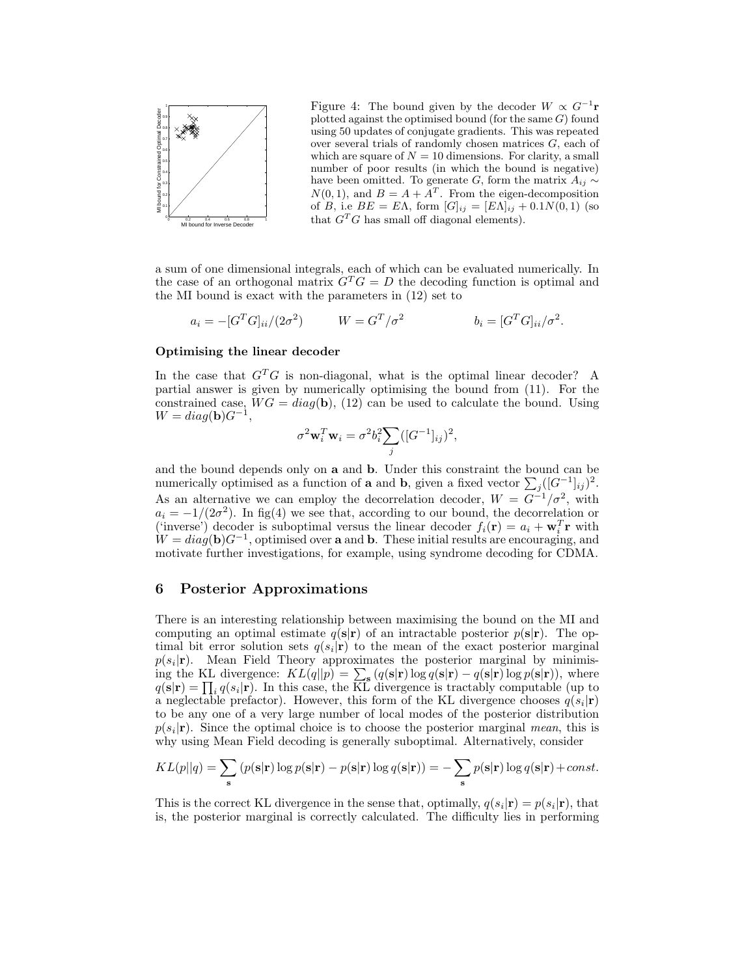

Figure 4: The bound given by the decoder  $W \propto G^{-1}$ **r** plotted against the optimised bound (for the same  $G$ ) found using 50 updates of conjugate gradients. This was repeated over several trials of randomly chosen matrices G, each of which are square of  $N = 10$  dimensions. For clarity, a small number of poor results (in which the bound is negative) have been omitted. To generate G, form the matrix  $A_{ij} \sim$  $N(0, 1)$ , and  $B = A + A<sup>T</sup>$ . From the eigen-decomposition of B, i.e  $BE = E\Lambda$ , form  $[G]_{ij} = [E\Lambda]_{ij} + 0.1N(0,1)$  (so that  $G^T G$  has small off diagonal elements).

a sum of one dimensional integrals, each of which can be evaluated numerically. In the case of an orthogonal matrix  $G^T G = D$  the decoding function is optimal and the MI bound is exact with the parameters in (12) set to

$$
a_i = -[G^T G]_{ii}/(2\sigma^2) \qquad W = G^T/\sigma^2 \qquad b_i = [G^T G]_{ii}/\sigma^2.
$$

## Optimising the linear decoder

In the case that  $G^T G$  is non-diagonal, what is the optimal linear decoder? A partial answer is given by numerically optimising the bound from (11). For the constrained case,  $WG = diag(b)$ , (12) can be used to calculate the bound. Using  $W = diag(\mathbf{b})G^{-1},$ 

$$
\sigma^2 \mathbf{w}_i^T \mathbf{w}_i = \sigma^2 b_i^2 \sum_j ([G^{-1}]_{ij})^2,
$$

and the bound depends only on a and b. Under this constraint the bound can be numerically optimised as a function of **a** and **b**, given a fixed vector  $\sum_{j} ([G^{-1}]_{ij})^2$ . As an alternative we can employ the decorrelation decoder,  $W = G^{-1}/\sigma^2$ , with  $a_i = -1/(2\sigma^2)$ . In fig(4) we see that, according to our bound, the decorrelation or ('inverse') decoder is suboptimal versus the linear decoder  $f_i(\mathbf{r}) = a_i + \mathbf{w}_i^T \mathbf{r}$  with (inverse) decoder is suboptimal versus the linear decoder  $j_i(1) = a_i + w_i$  if with  $W = diag(b)G^{-1}$ , optimised over **a** and **b**. These initial results are encouraging, and motivate further investigations, for example, using syndrome decoding for CDMA.

## 6 Posterior Approximations

There is an interesting relationship between maximising the bound on the MI and computing an optimal estimate  $q(s|r)$  of an intractable posterior  $p(s|r)$ . The optimal bit error solution sets  $q(s_i|\mathbf{r})$  to the mean of the exact posterior marginal  $p(s_i|\mathbf{r})$ . Mean Field Theory approximates the posterior marginal by minimising the KL divergence:  $KL(q||p) = \sum_{s} (q(s|r) \log q(s|r) - q(s|r) \log p(s|r)),$  where  $q(\mathbf{s}|\mathbf{r}) = \prod_i q(s_i|\mathbf{r})$ . In this case, the KL divergence is tractably computable (up to a neglectable prefactor). However, this form of the KL divergence chooses  $q(s_i|\mathbf{r})$ to be any one of a very large number of local modes of the posterior distribution  $p(s_i|\mathbf{r})$ . Since the optimal choice is to choose the posterior marginal mean, this is why using Mean Field decoding is generally suboptimal. Alternatively, consider

$$
KL(p||q) = \sum_{\mathbf{s}} (p(\mathbf{s}|\mathbf{r}) \log p(\mathbf{s}|\mathbf{r}) - p(\mathbf{s}|\mathbf{r}) \log q(\mathbf{s}|\mathbf{r})) = -\sum_{\mathbf{s}} p(\mathbf{s}|\mathbf{r}) \log q(\mathbf{s}|\mathbf{r}) + const.
$$

This is the correct KL divergence in the sense that, optimally,  $q(s_i|\mathbf{r}) = p(s_i|\mathbf{r})$ , that is, the posterior marginal is correctly calculated. The difficulty lies in performing